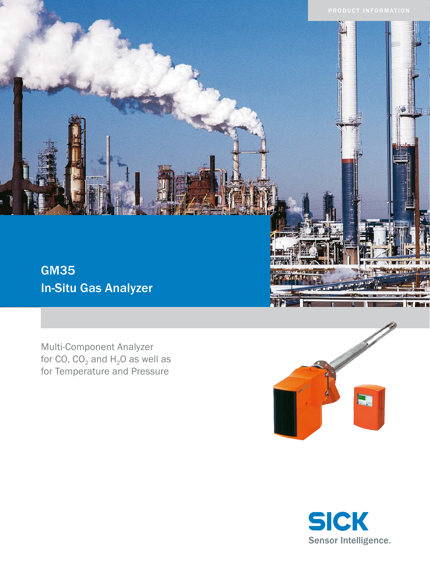

Multi-Component Analyzer for CO,  $CO_2$  and  $H_2O$  as well as for Temperature and Pressure



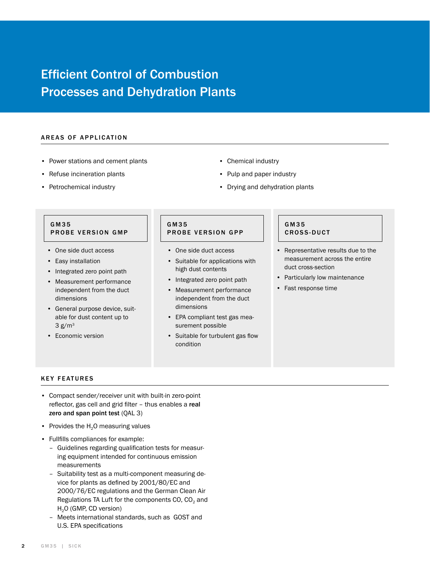# Efficient Control of Combustion Processes and Dehydration Plants

#### AREAS OF APPLICATION

- • Power stations and cement plants
- • Refuse incineration plants
- • Petrochemical industry
- • Chemical industry
- • Pulp and paper industry
- • Drying and dehydration plants

## G M 3 5 PROBE VERSION GMP

- • One side duct access
- • Easy installation
- Integrated zero point path
- • Measurement performance independent from the duct dimensions
- • General purpose device, suitable for dust content up to  $3 g/m<sup>3</sup>$
- • Economic version

# G M 3 5 PROBE VERSION GPP

- • One side duct access
- • Suitable for applications with high dust contents
- Integrated zero point path
- • Measurement performance independent from the duct dimensions
- • EPA compliant test gas measurement possible
- • Suitable for turbulent gas flow condition

#### G M 3 5 CROSS-DUCT

- Representative results due to the measurement across the entire duct cross-section
- • Particularly low maintenance
- • Fast response time

#### KEY FEATURES

- • Compact sender/receiver unit with built-in zero-point reflector, gas cell and grid filter – thus enables a real zero and span point test (QAL 3)
- Provides the  $H<sub>2</sub>$ O measuring values
- • Fullfills compliances for example:
	- Guidelines regarding qualification tests for measuring equipment intended for continuous emission measurements
	- Suitability test as a multi-component measuring device for plants as defined by 2001/80/EC and 2000/76/EC regulations and the German Clean Air Regulations TA Luft for the components CO,  $CO<sub>2</sub>$  and  $H<sub>2</sub>O$  (GMP, CD version)
	- Meets international standards, such as GOST and U.S. EPA specifications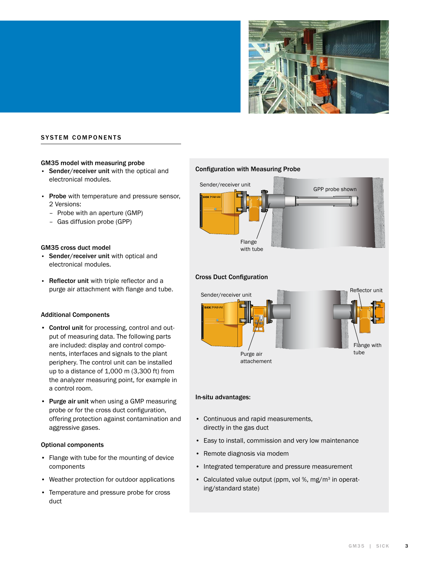

# **SYSTEM COMPONENTS**

#### GM35 model with measuring probe

- Sender/receiver unit with the optical and electronical modules.
- Probe with temperature and pressure sensor, 2 Versions:
	- Probe with an aperture (GMP)
	- Gas diffusion probe (GPP)

#### GM35 cross duct model

- • Sender/receiver unit with optical and electronical modules.
- Reflector unit with triple reflector and a purge air attachment with flange and tube.

#### Additional Components

- • Control unit for processing, control and output of measuring data. The following parts are included: display and control components, interfaces and signals to the plant periphery. The control unit can be installed up to a distance of 1,000 m (3,300 ft) from the analyzer measuring point, for example in a control room.
- Purge air unit when using a GMP measuring probe or for the cross duct configuration, offering protection against contamination and aggressive gases.

#### Optional components

- • Flange with tube for the mounting of device components
- • Weather protection for outdoor applications
- • Temperature and pressure probe for cross duct

#### Configuration with Measuring Probe



## Cross Duct Configuration



#### In-situ advantages:

- • Continuous and rapid measurements, directly in the gas duct
- • Easy to install, commission and very low maintenance
- • Remote diagnosis via modem
- Integrated temperature and pressure measurement
- Calculated value output (ppm, vol %, mg/m<sup>3</sup> in operating/standard state)